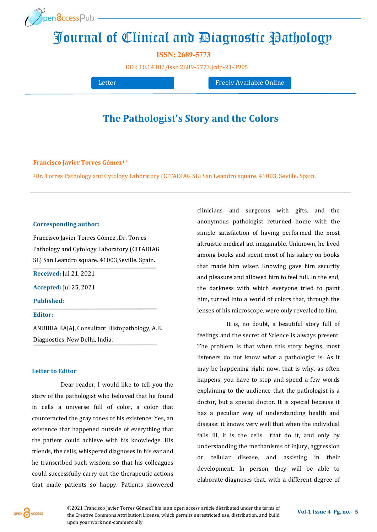

# [Journa](http://www.openaccesspub.org/)l of Clinical and Diagnostic Pathology

**ISSN: 2689-5773**

DOI: [10.14302/issn.2689](https://doi.org/10.14302/issn.2689-5773.jcdp-21-3905)-5773.jcdp-21-3905

Letter **Freely Available Online** 

## **The Pathologist's Story and the Colors**

#### **Francisco Javier Torres Gómez1,\***

<sup>1</sup>Dr. Torres Pathology and Cytology Laboratory (CITADIAG SL) San Leandro square. 41003, Seville. Spain.

#### **Corresponding author:**

Francisco Javier Torres Gómez, Dr. Torres Pathology and Cytology Laboratory (CITADIAG SL) San Leandro square. 41003,Seville. Spain. **Received:** Jul 21, 2021 **Accepted:** Jul 25, 2021

**Published:** 

### **Editor:**

ANUBHA BAJAJ, Consultant Histopathology, A.B. Diagnostics, New Delhi, India.

#### **Letter to Editor**

Dear reader, I would like to tell you the story of the pathologist who believed that he found in cells a universe full of color, a color that counteracted the gray tones of his existence. Yes, an existence that happened outside of everything that the patient could achieve with his knowledge. His friends, the cells, whispered diagnoses in his ear and he transcribed such wisdom so that his colleagues could successfully carry out the therapeutic actions that made patients so happy. Patients showered

clinicians and surgeons with gifts, and the anonymous pathologist returned home with the simple satisfaction of having performed the most altruistic medical act imaginable. Unknown, he lived among books and spent most of his salary on books that made him wiser. Knowing gave him security and pleasure and allowed him to feel full. In the end, the darkness with which everyone tried to paint him, turned into a world of colors that, through the lenses of his microscope, were only revealed to him.

It is, no doubt, a beautiful story full of feelings and the secret of Science is always present. The problem is that when this story begins, most listeners do not know what a pathologist is. As it may be happening right now. that is why, as often happens, you have to stop and spend a few words explaining to the audience that the pathologist is a doctor, but a special doctor. It is special because it has a peculiar way of understanding health and disease: it knows very well that when the individual falls ill, it is the cells that do it, and only by understanding the mechanisms of injury, aggression or cellular disease, and assisting in their development. In person, they will be able to elaborate diagnoses that, with a different degree of